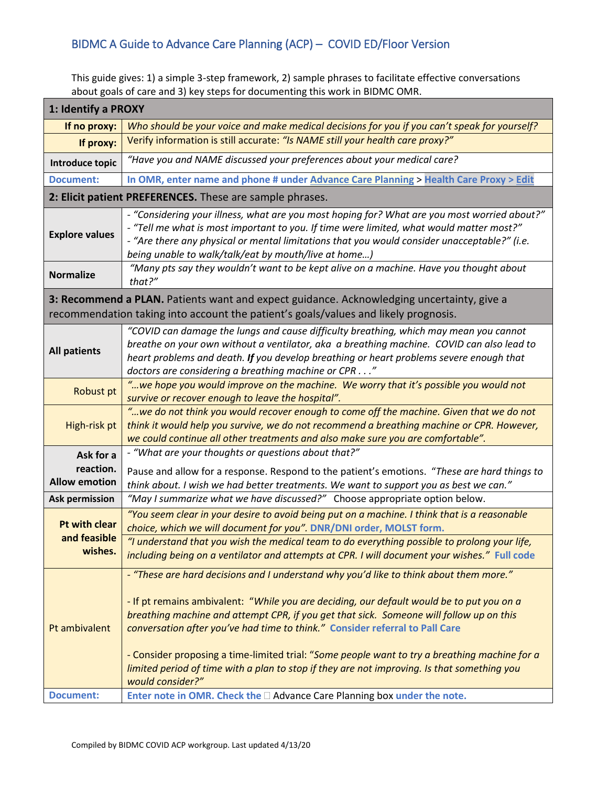## BIDMC A Guide to Advance Care Planning (ACP) – COVID ED/Floor Version

This guide gives: 1) a simple 3-step framework, 2) sample phrases to facilitate effective conversations about goals of care and 3) key steps for documenting this work in BIDMC OMR.

| 1: Identify a PROXY                                                                                                                                                              |                                                                                                                                                                                                                                                                                                                                                                                                                                                                                                                                                                                    |
|----------------------------------------------------------------------------------------------------------------------------------------------------------------------------------|------------------------------------------------------------------------------------------------------------------------------------------------------------------------------------------------------------------------------------------------------------------------------------------------------------------------------------------------------------------------------------------------------------------------------------------------------------------------------------------------------------------------------------------------------------------------------------|
| If no proxy:                                                                                                                                                                     | Who should be your voice and make medical decisions for you if you can't speak for yourself?                                                                                                                                                                                                                                                                                                                                                                                                                                                                                       |
| If proxy:                                                                                                                                                                        | Verify information is still accurate: "Is NAME still your health care proxy?"                                                                                                                                                                                                                                                                                                                                                                                                                                                                                                      |
| Introduce topic                                                                                                                                                                  | "Have you and NAME discussed your preferences about your medical care?                                                                                                                                                                                                                                                                                                                                                                                                                                                                                                             |
| <b>Document:</b>                                                                                                                                                                 | In OMR, enter name and phone # under Advance Care Planning > Health Care Proxy > Edit                                                                                                                                                                                                                                                                                                                                                                                                                                                                                              |
| 2: Elicit patient PREFERENCES. These are sample phrases.                                                                                                                         |                                                                                                                                                                                                                                                                                                                                                                                                                                                                                                                                                                                    |
| <b>Explore values</b>                                                                                                                                                            | - "Considering your illness, what are you most hoping for? What are you most worried about?"<br>- "Tell me what is most important to you. If time were limited, what would matter most?"<br>- "Are there any physical or mental limitations that you would consider unacceptable?" (i.e.<br>being unable to walk/talk/eat by mouth/live at home)                                                                                                                                                                                                                                   |
| <b>Normalize</b>                                                                                                                                                                 | "Many pts say they wouldn't want to be kept alive on a machine. Have you thought about<br>that?"                                                                                                                                                                                                                                                                                                                                                                                                                                                                                   |
| 3: Recommend a PLAN. Patients want and expect guidance. Acknowledging uncertainty, give a<br>recommendation taking into account the patient's goals/values and likely prognosis. |                                                                                                                                                                                                                                                                                                                                                                                                                                                                                                                                                                                    |
| <b>All patients</b>                                                                                                                                                              | "COVID can damage the lungs and cause difficulty breathing, which may mean you cannot<br>breathe on your own without a ventilator, aka a breathing machine. COVID can also lead to<br>heart problems and death. If you develop breathing or heart problems severe enough that<br>doctors are considering a breathing machine or CPR"                                                                                                                                                                                                                                               |
| <b>Robust pt</b>                                                                                                                                                                 | "we hope you would improve on the machine. We worry that it's possible you would not<br>survive or recover enough to leave the hospital".                                                                                                                                                                                                                                                                                                                                                                                                                                          |
| High-risk pt                                                                                                                                                                     | "we do not think you would recover enough to come off the machine. Given that we do not<br>think it would help you survive, we do not recommend a breathing machine or CPR. However,<br>we could continue all other treatments and also make sure you are comfortable".                                                                                                                                                                                                                                                                                                            |
| Ask for a                                                                                                                                                                        | - "What are your thoughts or questions about that?"                                                                                                                                                                                                                                                                                                                                                                                                                                                                                                                                |
| reaction.<br><b>Allow emotion</b>                                                                                                                                                | Pause and allow for a response. Respond to the patient's emotions. "These are hard things to<br>think about. I wish we had better treatments. We want to support you as best we can."                                                                                                                                                                                                                                                                                                                                                                                              |
| <b>Ask permission</b>                                                                                                                                                            | "May I summarize what we have discussed?" Choose appropriate option below.                                                                                                                                                                                                                                                                                                                                                                                                                                                                                                         |
| <b>Pt with clear</b><br>and feasible<br>wishes.                                                                                                                                  | "You seem clear in your desire to avoid being put on a machine. I think that is a reasonable<br>choice, which we will document for you". DNR/DNI order, MOLST form.<br>"I understand that you wish the medical team to do everything possible to prolong your life,<br>including being on a ventilator and attempts at CPR. I will document your wishes." Full code                                                                                                                                                                                                                |
| Pt ambivalent<br><b>Document:</b>                                                                                                                                                | - "These are hard decisions and I understand why you'd like to think about them more."<br>- If pt remains ambivalent: "While you are deciding, our default would be to put you on a<br>breathing machine and attempt CPR, if you get that sick. Someone will follow up on this<br>conversation after you've had time to think." Consider referral to Pall Care<br>- Consider proposing a time-limited trial: "Some people want to try a breathing machine for a<br>limited period of time with a plan to stop if they are not improving. Is that something you<br>would consider?" |
|                                                                                                                                                                                  |                                                                                                                                                                                                                                                                                                                                                                                                                                                                                                                                                                                    |